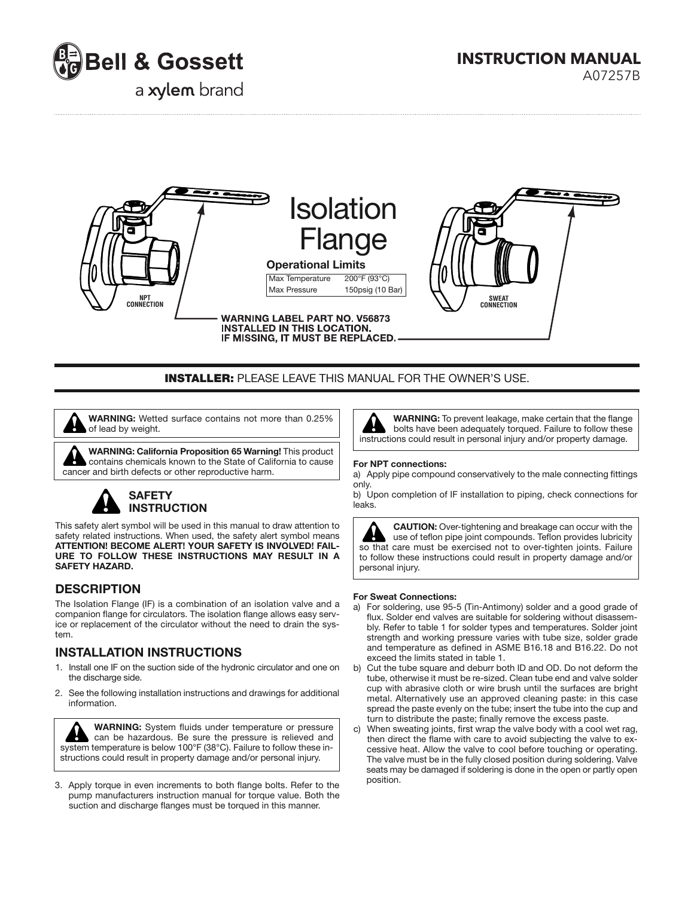

**INSTRUCTION MANUAL**

a xylem brand

A07257B



## **INSTALLER:** PLEASE LEAVE THIS MANUAL FOR THE OWNER'S USE.

 **WARNING:** Wetted surface contains not more than 0.25% of lead by weight.

 **WARNING: California Proposition 65 Warning!** This product contains chemicals known to the State of California to cause cancer and birth defects or other reproductive harm.

# **SAFETY INSTRUCTION**

This safety alert symbol will be used in this manual to draw attention to safety related instructions. When used, the safety alert symbol means **ATTENTION! BECOME ALERT! YOUR SAFETY IS INVOLVED! FAIL-URE TO FOLLOW THESE INSTRUCTIONS MAY RESULT IN A SAFETY HAZARD.**

## **DESCRIPTION**

The Isolation Flange (IF) is a combination of an isolation valve and a companion flange for circulators. The isolation flange allows easy service or replacement of the circulator without the need to drain the system.

# **INSTALLATION INSTRUCTIONS**

- 1. Install one IF on the suction side of the hydronic circulator and one on the discharge side.
- 2. See the following installation instructions and drawings for additional information.

**WARNING:** System fluids under temperature or pressure can be hazardous. Be sure the pressure is relieved and system temperature is below 100°F (38°C). Failure to follow these instructions could result in property damage and/or personal injury.

3. Apply torque in even increments to both flange bolts. Refer to the pump manufacturers instruction manual for torque value. Both the suction and discharge flanges must be torqued in this manner.



**WARNING:** To prevent leakage, make certain that the flange bolts have been adequately torqued. Failure to follow these instructions could result in personal injury and/or property damage.

#### **For NPT connections:**

a) Apply pipe compound conservatively to the male connecting fittings only.

b) Upon completion of IF installation to piping, check connections for leaks.

**CAUTION:** Over-tightening and breakage can occur with the use of teflon pipe joint compounds. Teflon provides lubricity so that care must be exercised not to over-tighten joints. Failure to follow these instructions could result in property damage and/or personal injury.

#### **For Sweat Connections:**

- a) For soldering, use 95-5 (Tin-Antimony) solder and a good grade of flux. Solder end valves are suitable for soldering without disassem bly. Refer to table 1 for solder types and temperatures. Solder joint strength and working pressure varies with tube size, solder grade and temperature as defined in ASME B16.18 and B16.22. Do not exceed the limits stated in table 1.
- b) Cut the tube square and deburr both ID and OD. Do not deform the tube, otherwise it must be re-sized. Clean tube end and valve solder cup with abrasive cloth or wire brush until the surfaces are bright metal. Alternatively use an approved cleaning paste: in this case spread the paste evenly on the tube; insert the tube into the cup and turn to distribute the paste; finally remove the excess paste.
- c) When sweating joints, first wrap the valve body with a cool wet rag, then direct the flame with care to avoid subjecting the valve to ex cessive heat. Allow the valve to cool before touching or operating. The valve must be in the fully closed position during soldering. Valve seats may be damaged if soldering is done in the open or partly open position.